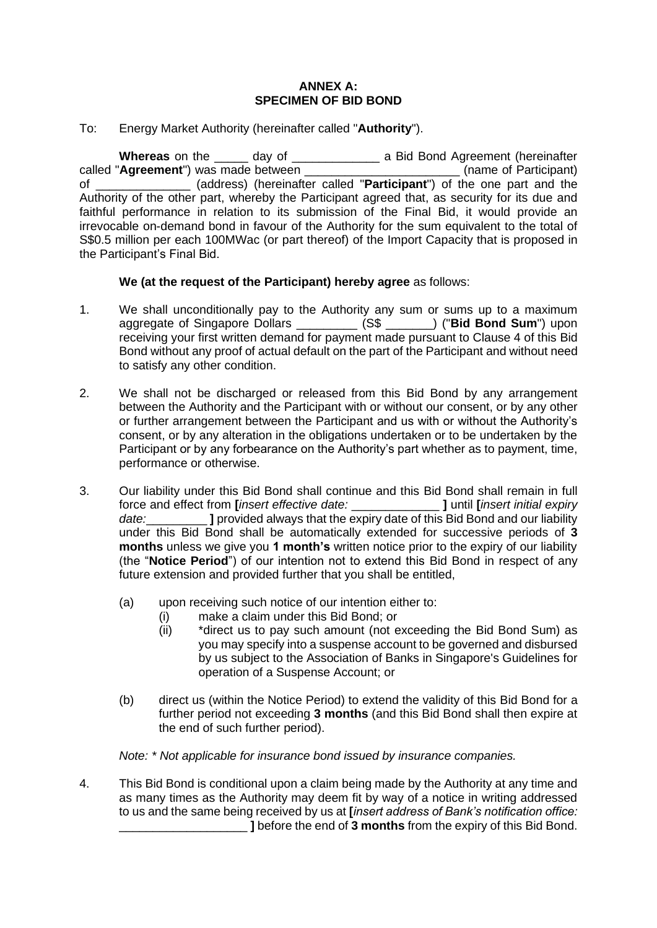## **ANNEX A: SPECIMEN OF BID BOND**

## To: Energy Market Authority (hereinafter called "**Authority**").

**Whereas** on the \_\_\_\_\_ day of \_\_\_\_\_\_\_\_\_\_\_\_\_ a Bid Bond Agreement (hereinafter called "**Agreement**") was made between \_\_\_\_\_\_\_\_\_\_\_\_\_\_\_\_\_\_\_\_\_\_\_ (name of Participant) of \_\_\_\_\_\_\_\_\_\_\_\_\_\_ (address) (hereinafter called "**Participant**") of the one part and the Authority of the other part, whereby the Participant agreed that, as security for its due and faithful performance in relation to its submission of the Final Bid, it would provide an irrevocable on-demand bond in favour of the Authority for the sum equivalent to the total of S\$0.5 million per each 100MWac (or part thereof) of the Import Capacity that is proposed in the Participant's Final Bid.

## **We (at the request of the Participant) hereby agree** as follows:

- 1. We shall unconditionally pay to the Authority any sum or sums up to a maximum aggregate of Singapore Dollars \_\_\_\_\_\_\_\_\_ (S\$ \_\_\_\_\_\_\_) ("**Bid Bond Sum**") upon receiving your first written demand for payment made pursuant to Clause 4 of this Bid Bond without any proof of actual default on the part of the Participant and without need to satisfy any other condition.
- 2. We shall not be discharged or released from this Bid Bond by any arrangement between the Authority and the Participant with or without our consent, or by any other or further arrangement between the Participant and us with or without the Authority's consent, or by any alteration in the obligations undertaken or to be undertaken by the Participant or by any forbearance on the Authority's part whether as to payment, time, performance or otherwise.
- 3. Our liability under this Bid Bond shall continue and this Bid Bond shall remain in full force and effect from **[***insert effective date:* \_\_\_\_\_\_\_\_\_\_\_\_\_ **]** until **[***insert initial expiry*  date: **I** provided always that the expiry date of this Bid Bond and our liability under this Bid Bond shall be automatically extended for successive periods of **3 months** unless we give you **1 month's** written notice prior to the expiry of our liability (the "**Notice Period**") of our intention not to extend this Bid Bond in respect of any future extension and provided further that you shall be entitled,
	- (a) upon receiving such notice of our intention either to:
		- (i) make a claim under this Bid Bond; or
		- (ii) \*direct us to pay such amount (not exceeding the Bid Bond Sum) as you may specify into a suspense account to be governed and disbursed by us subject to the Association of Banks in Singapore's Guidelines for operation of a Suspense Account; or
	- (b) direct us (within the Notice Period) to extend the validity of this Bid Bond for a further period not exceeding **3 months** (and this Bid Bond shall then expire at the end of such further period).

*Note: \* Not applicable for insurance bond issued by insurance companies.*

4. This Bid Bond is conditional upon a claim being made by the Authority at any time and as many times as the Authority may deem fit by way of a notice in writing addressed to us and the same being received by us at **[***insert address of Bank's notification office:* **I** before the end of **3 months** from the expiry of this Bid Bond.